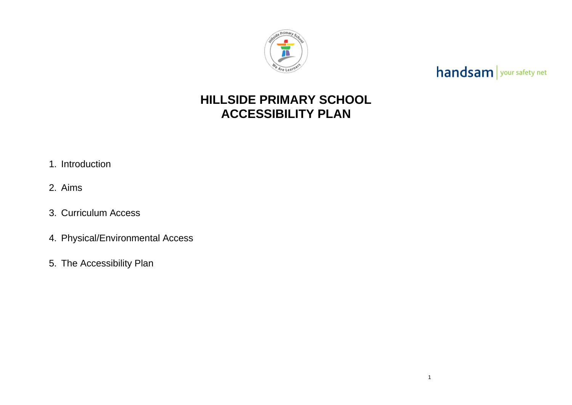

### **HILLSIDE PRIMARY SCHOOL ACCESSIBILITY PLAN**

- 1. Introduction
- 2. Aims
- 3. Curriculum Access
- 4. Physical/Environmental Access
- 5. The Accessibility Plan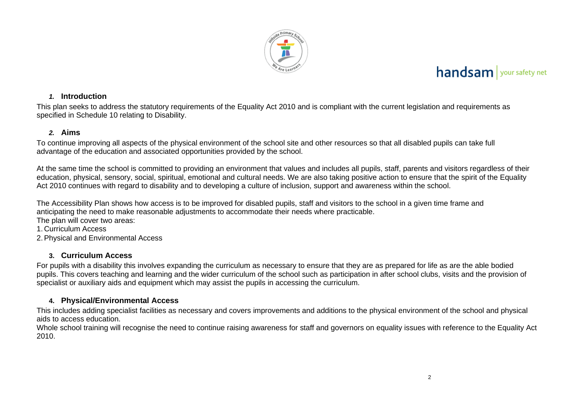

#### *1.* **Introduction**

This plan seeks to address the statutory requirements of the Equality Act 2010 and is compliant with the current legislation and requirements as specified in Schedule 10 relating to Disability.

#### *2.* **Aims**

To continue improving all aspects of the physical environment of the school site and other resources so that all disabled pupils can take full advantage of the education and associated opportunities provided by the school.

At the same time the school is committed to providing an environment that values and includes all pupils, staff, parents and visitors regardless of their education, physical, sensory, social, spiritual, emotional and cultural needs. We are also taking positive action to ensure that the spirit of the Equality Act 2010 continues with regard to disability and to developing a culture of inclusion, support and awareness within the school.

The Accessibility Plan shows how access is to be improved for disabled pupils, staff and visitors to the school in a given time frame and anticipating the need to make reasonable adjustments to accommodate their needs where practicable. The plan will cover two areas:

1. Curriculum Access

2.Physical and Environmental Access

#### **3. Curriculum Access**

For pupils with a disability this involves expanding the curriculum as necessary to ensure that they are as prepared for life as are the able bodied pupils. This covers teaching and learning and the wider curriculum of the school such as participation in after school clubs, visits and the provision of specialist or auxiliary aids and equipment which may assist the pupils in accessing the curriculum.

#### **4. Physical/Environmental Access**

This includes adding specialist facilities as necessary and covers improvements and additions to the physical environment of the school and physical aids to access education.

Whole school training will recognise the need to continue raising awareness for staff and governors on equality issues with reference to the Equality Act 2010.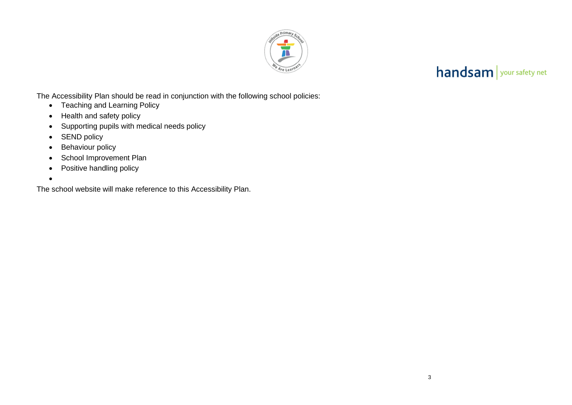

The Accessibility Plan should be read in conjunction with the following school policies:

- Teaching and Learning Policy
- Health and safety policy
- Supporting pupils with medical needs policy
- **SEND policy**
- Behaviour policy
- School Improvement Plan
- Positive handling policy
- •

The school website will make reference to this Accessibility Plan.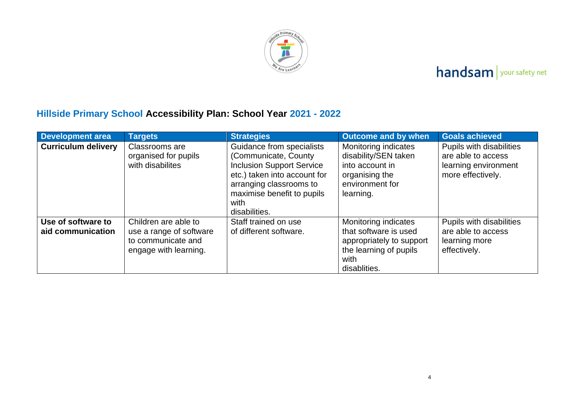

### **Hillside Primary School Accessibility Plan: School Year 2021 - 2022**

| <b>Development area</b>                 | <b>Targets</b>                                                                                 | <b>Strategies</b>                                                                                                                                                                                        | <b>Outcome and by when</b>                                                                                                  | <b>Goals achieved</b>                                                                       |
|-----------------------------------------|------------------------------------------------------------------------------------------------|----------------------------------------------------------------------------------------------------------------------------------------------------------------------------------------------------------|-----------------------------------------------------------------------------------------------------------------------------|---------------------------------------------------------------------------------------------|
| <b>Curriculum delivery</b>              | Classrooms are<br>organised for pupils<br>with disabilites                                     | Guidance from specialists<br>(Communicate, County)<br><b>Inclusion Support Service</b><br>etc.) taken into account for<br>arranging classrooms to<br>maximise benefit to pupils<br>with<br>disabilities. | Monitoring indicates<br>disability/SEN taken<br>into account in<br>organising the<br>environment for<br>learning.           | Pupils with disabilities<br>are able to access<br>learning environment<br>more effectively. |
| Use of software to<br>aid communication | Children are able to<br>use a range of software<br>to communicate and<br>engage with learning. | Staff trained on use<br>of different software.                                                                                                                                                           | Monitoring indicates<br>that software is used<br>appropriately to support<br>the learning of pupils<br>with<br>disablities. | Pupils with disabilities<br>are able to access<br>learning more<br>effectively.             |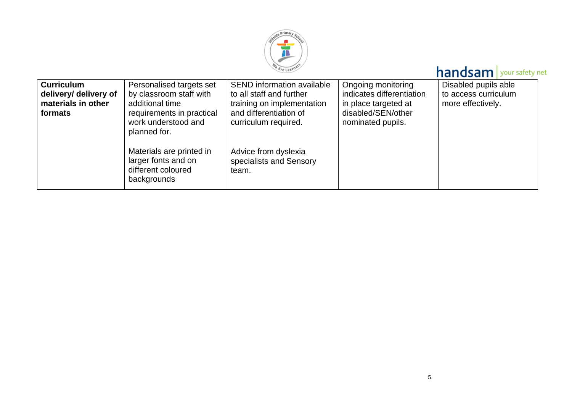

| <b>Curriculum</b><br>delivery/ delivery of<br>materials in other<br>formats | Personalised targets set<br>by classroom staff with<br>additional time<br>requirements in practical<br>work understood and<br>planned for. | <b>SEND</b> information available<br>to all staff and further<br>training on implementation<br>and differentiation of<br>curriculum required. | Ongoing monitoring<br>indicates differentiation<br>in place targeted at<br>disabled/SEN/other<br>nominated pupils. | Disabled pupils able<br>to access curriculum<br>more effectively. |
|-----------------------------------------------------------------------------|--------------------------------------------------------------------------------------------------------------------------------------------|-----------------------------------------------------------------------------------------------------------------------------------------------|--------------------------------------------------------------------------------------------------------------------|-------------------------------------------------------------------|
|                                                                             | Materials are printed in<br>larger fonts and on<br>different coloured<br>backgrounds                                                       | Advice from dyslexia<br>specialists and Sensory<br>team.                                                                                      |                                                                                                                    |                                                                   |